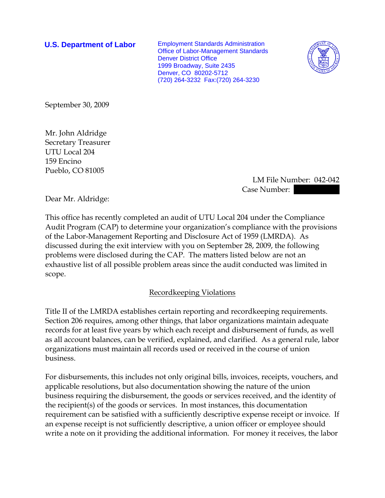**U.S. Department of Labor** Employment Standards Administration Office of Labor-Management Standards Denver District Office 1999 Broadway, Suite 2435 Denver, CO 80202-5712 (720) 264-3232 Fax:(720) 264-3230



September 30, 2009

Mr. John Aldridge Secretary Treasurer UTU Local 204 159 Encino Pueblo, CO 81005

> LM File Number: 042-042 Case Number:

Dear Mr. Aldridge:

This office has recently completed an audit of UTU Local 204 under the Compliance Audit Program (CAP) to determine your organization's compliance with the provisions of the Labor-Management Reporting and Disclosure Act of 1959 (LMRDA). As discussed during the exit interview with you on September 28, 2009, the following problems were disclosed during the CAP. The matters listed below are not an exhaustive list of all possible problem areas since the audit conducted was limited in scope.

## Recordkeeping Violations

Title II of the LMRDA establishes certain reporting and recordkeeping requirements. Section 206 requires, among other things, that labor organizations maintain adequate records for at least five years by which each receipt and disbursement of funds, as well as all account balances, can be verified, explained, and clarified. As a general rule, labor organizations must maintain all records used or received in the course of union business.

For disbursements, this includes not only original bills, invoices, receipts, vouchers, and applicable resolutions, but also documentation showing the nature of the union business requiring the disbursement, the goods or services received, and the identity of the recipient(s) of the goods or services. In most instances, this documentation requirement can be satisfied with a sufficiently descriptive expense receipt or invoice. If an expense receipt is not sufficiently descriptive, a union officer or employee should write a note on it providing the additional information. For money it receives, the labor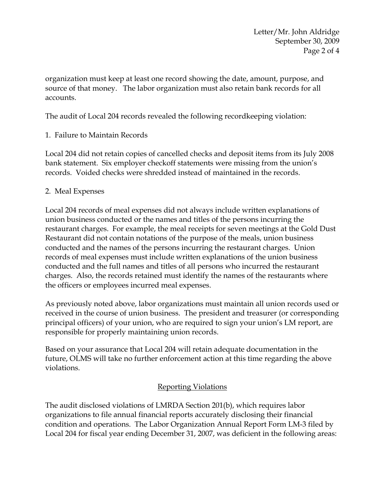organization must keep at least one record showing the date, amount, purpose, and source of that money. The labor organization must also retain bank records for all accounts.

The audit of Local 204 records revealed the following recordkeeping violation:

# 1. Failure to Maintain Records

Local 204 did not retain copies of cancelled checks and deposit items from its July 2008 bank statement. Six employer checkoff statements were missing from the union's records. Voided checks were shredded instead of maintained in the records.

## 2. Meal Expenses

Local 204 records of meal expenses did not always include written explanations of union business conducted or the names and titles of the persons incurring the restaurant charges. For example, the meal receipts for seven meetings at the Gold Dust Restaurant did not contain notations of the purpose of the meals, union business conducted and the names of the persons incurring the restaurant charges. Union records of meal expenses must include written explanations of the union business conducted and the full names and titles of all persons who incurred the restaurant charges. Also, the records retained must identify the names of the restaurants where the officers or employees incurred meal expenses.

As previously noted above, labor organizations must maintain all union records used or received in the course of union business. The president and treasurer (or corresponding principal officers) of your union, who are required to sign your union's LM report, are responsible for properly maintaining union records.

Based on your assurance that Local 204 will retain adequate documentation in the future, OLMS will take no further enforcement action at this time regarding the above violations.

## Reporting Violations

The audit disclosed violations of LMRDA Section 201(b), which requires labor organizations to file annual financial reports accurately disclosing their financial condition and operations. The Labor Organization Annual Report Form LM-3 filed by Local 204 for fiscal year ending December 31, 2007, was deficient in the following areas: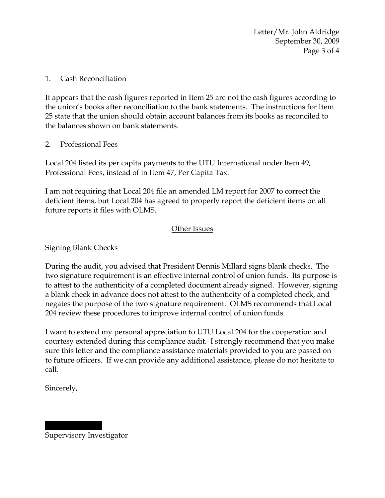Letter/Mr. John Aldridge September 30, 2009 Page 3 of 4

#### 1. Cash Reconciliation

It appears that the cash figures reported in Item 25 are not the cash figures according to the union's books after reconciliation to the bank statements. The instructions for Item 25 state that the union should obtain account balances from its books as reconciled to the balances shown on bank statements.

#### 2. Professional Fees

Local 204 listed its per capita payments to the UTU International under Item 49, Professional Fees, instead of in Item 47, Per Capita Tax.

I am not requiring that Local 204 file an amended LM report for 2007 to correct the deficient items, but Local 204 has agreed to properly report the deficient items on all future reports it files with OLMS.

#### Other Issues

Signing Blank Checks

During the audit, you advised that President Dennis Millard signs blank checks. The two signature requirement is an effective internal control of union funds. Its purpose is to attest to the authenticity of a completed document already signed. However, signing a blank check in advance does not attest to the authenticity of a completed check, and negates the purpose of the two signature requirement. OLMS recommends that Local 204 review these procedures to improve internal control of union funds.

I want to extend my personal appreciation to UTU Local 204 for the cooperation and courtesy extended during this compliance audit. I strongly recommend that you make sure this letter and the compliance assistance materials provided to you are passed on to future officers. If we can provide any additional assistance, please do not hesitate to call.

Sincerely,

||||||| ||||| Supervisory Investigator